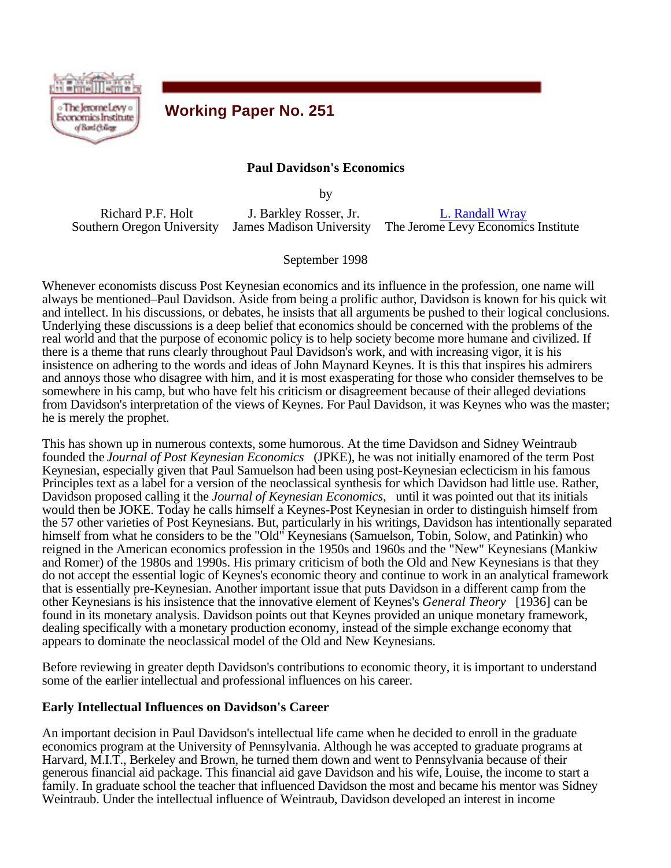

# **Working Paper No. 251**

### **Paul Davidson's Economics**

by

Richard P.F. Holt Southern Oregon University James Madison University

J. Barkley Rosser, Jr.

L. Randall Wray The Jerome Levy Economics Institute

September 1998

Whenever economists discuss Post Keynesian economics and its influence in the profession, one name will always be mentioned–Paul Davidson. Aside from being a prolific author, Davidson is known for his quick wit and intellect. In his discussions, or debates, he insists that all arguments be pushed to their logical conclusions. Underlying these discussions is a deep belief that economics should be concerned with the problems of the real world and that the purpose of economic policy is to help society become more humane and civilized. If there is a theme that runs clearly throughout Paul Davidson's work, and with increasing vigor, it is his insistence on adhering to the words and ideas of John Maynard Keynes. It is this that inspires his admirers and annoys those who disagree with him, and it is most exasperating for those who consider themselves to be somewhere in his camp, but who have felt his criticism or disagreement because of their alleged deviations from Davidson's interpretation of the views of Keynes. For Paul Davidson, it was Keynes who was the master; he is merely the prophet.

This has shown up in numerous contexts, some humorous. At the time Davidson and Sidney Weintraub founded the *Journal of Post Keynesian Economics* (JPKE), he was not initially enamored of the term Post Keynesian, especially given that Paul Samuelson had been using post-Keynesian eclecticism in his famous Principles text as a label for a version of the neoclassical synthesis for which Davidson had little use. Rather, Davidson proposed calling it the *Journal of Keynesian Economics,* until it was pointed out that its initials would then be JOKE. Today he calls himself a Keynes-Post Keynesian in order to distinguish himself from the 57 other varieties of Post Keynesians. But, particularly in his writings, Davidson has intentionally separated himself from what he considers to be the "Old" Keynesians (Samuelson, Tobin, Solow, and Patinkin) who reigned in the American economics profession in the 1950s and 1960s and the "New" Keynesians (Mankiw and Romer) of the 1980s and 1990s. His primary criticism of both the Old and New Keynesians is that they do not accept the essential logic of Keynes's economic theory and continue to work in an analytical framework that is essentially pre-Keynesian. Another important issue that puts Davidson in a different camp from the other Keynesians is his insistence that the innovative element of Keynes's *General Theory* [1936] can be found in its monetary analysis. Davidson points out that Keynes provided an unique monetary framework, dealing specifically with a monetary production economy, instead of the simple exchange economy that appears to dominate the neoclassical model of the Old and New Keynesians.

Before reviewing in greater depth Davidson's contributions to economic theory, it is important to understand some of the earlier intellectual and professional influences on his career.

### **Early Intellectual Influences on Davidson's Career**

An important decision in Paul Davidson's intellectual life came when he decided to enroll in the graduate economics program at the University of Pennsylvania. Although he was accepted to graduate programs at Harvard, M.I.T., Berkeley and Brown, he turned them down and went to Pennsylvania because of their generous financial aid package. This financial aid gave Davidson and his wife, Louise, the income to start a family. In graduate school the teacher that influenced Davidson the most and became his mentor was Sidney Weintraub. Under the intellectual influence of Weintraub, Davidson developed an interest in income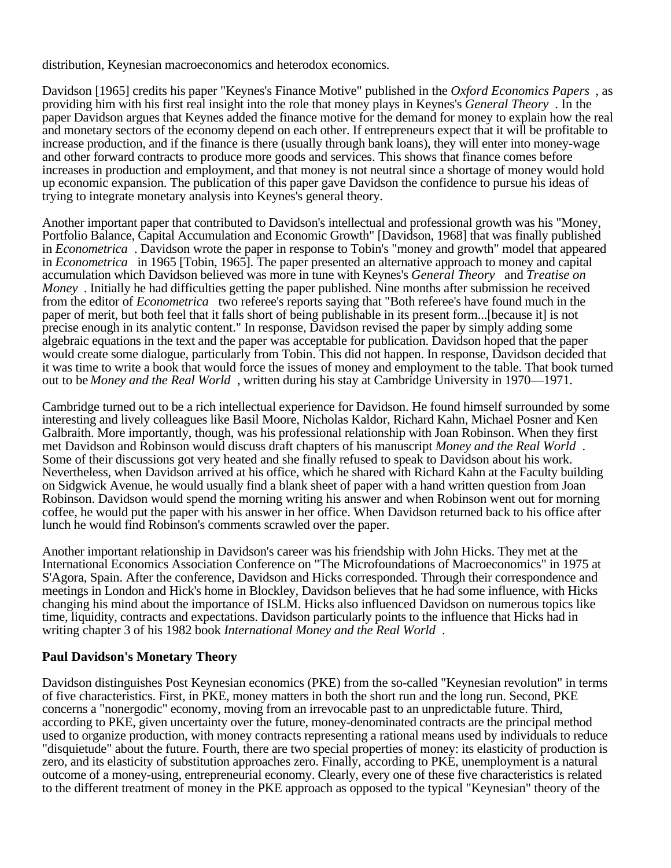distribution, Keynesian macroeconomics and heterodox economics.

Davidson [1965] credits his paper "Keynes's Finance Motive" published in the *Oxford Economics Papers* , as providing him with his first real insight into the role that money plays in Keynes's *General Theory* . In the paper Davidson argues that Keynes added the finance motive for the demand for money to explain how the real and monetary sectors of the economy depend on each other. If entrepreneurs expect that it will be profitable to increase production, and if the finance is there (usually through bank loans), they will enter into money-wage and other forward contracts to produce more goods and services. This shows that finance comes before increases in production and employment, and that money is not neutral since a shortage of money would hold up economic expansion. The publication of this paper gave Davidson the confidence to pursue his ideas of trying to integrate monetary analysis into Keynes's general theory.

Another important paper that contributed to Davidson's intellectual and professional growth was his "Money, Portfolio Balance, Capital Accumulation and Economic Growth" [Davidson, 1968] that was finally published in *Econometrica* . Davidson wrote the paper in response to Tobin's "money and growth" model that appeared in *Econometrica* in 1965 [Tobin, 1965]. The paper presented an alternative approach to money and capital accumulation which Davidson believed was more in tune with Keynes's *General Theory* and *Treatise on Money* . Initially he had difficulties getting the paper published. Nine months after submission he received from the editor of *Econometrica* two referee's reports saying that "Both referee's have found much in the paper of merit, but both feel that it falls short of being publishable in its present form...[because it] is not precise enough in its analytic content." In response, Davidson revised the paper by simply adding some algebraic equations in the text and the paper was acceptable for publication. Davidson hoped that the paper would create some dialogue, particularly from Tobin. This did not happen. In response, Davidson decided that it was time to write a book that would force the issues of money and employment to the table. That book turned out to be *Money and the Real World* , written during his stay at Cambridge University in 1970—1971.

Cambridge turned out to be a rich intellectual experience for Davidson. He found himself surrounded by some interesting and lively colleagues like Basil Moore, Nicholas Kaldor, Richard Kahn, Michael Posner and Ken Galbraith. More importantly, though, was his professional relationship with Joan Robinson. When they first met Davidson and Robinson would discuss draft chapters of his manuscript *Money and the Real World* . Some of their discussions got very heated and she finally refused to speak to Davidson about his work. Nevertheless, when Davidson arrived at his office, which he shared with Richard Kahn at the Faculty building on Sidgwick Avenue, he would usually find a blank sheet of paper with a hand written question from Joan Robinson. Davidson would spend the morning writing his answer and when Robinson went out for morning coffee, he would put the paper with his answer in her office. When Davidson returned back to his office after lunch he would find Robinson's comments scrawled over the paper.

Another important relationship in Davidson's career was his friendship with John Hicks. They met at the International Economics Association Conference on "The Microfoundations of Macroeconomics" in 1975 at S'Agora, Spain. After the conference, Davidson and Hicks corresponded. Through their correspondence and meetings in London and Hick's home in Blockley, Davidson believes that he had some influence, with Hicks changing his mind about the importance of ISLM. Hicks also influenced Davidson on numerous topics like time, liquidity, contracts and expectations. Davidson particularly points to the influence that Hicks had in writing chapter 3 of his 1982 book *International Money and the Real World* .

### **Paul Davidson's Monetary Theory**

Davidson distinguishes Post Keynesian economics (PKE) from the so-called "Keynesian revolution" in terms of five characteristics. First, in PKE, money matters in both the short run and the long run. Second, PKE concerns a "nonergodic" economy, moving from an irrevocable past to an unpredictable future. Third, according to PKE, given uncertainty over the future, money-denominated contracts are the principal method used to organize production, with money contracts representing a rational means used by individuals to reduce "disquietude" about the future. Fourth, there are two special properties of money: its elasticity of production is zero, and its elasticity of substitution approaches zero. Finally, according to PKE, unemployment is a natural outcome of a money-using, entrepreneurial economy. Clearly, every one of these five characteristics is related to the different treatment of money in the PKE approach as opposed to the typical "Keynesian" theory of the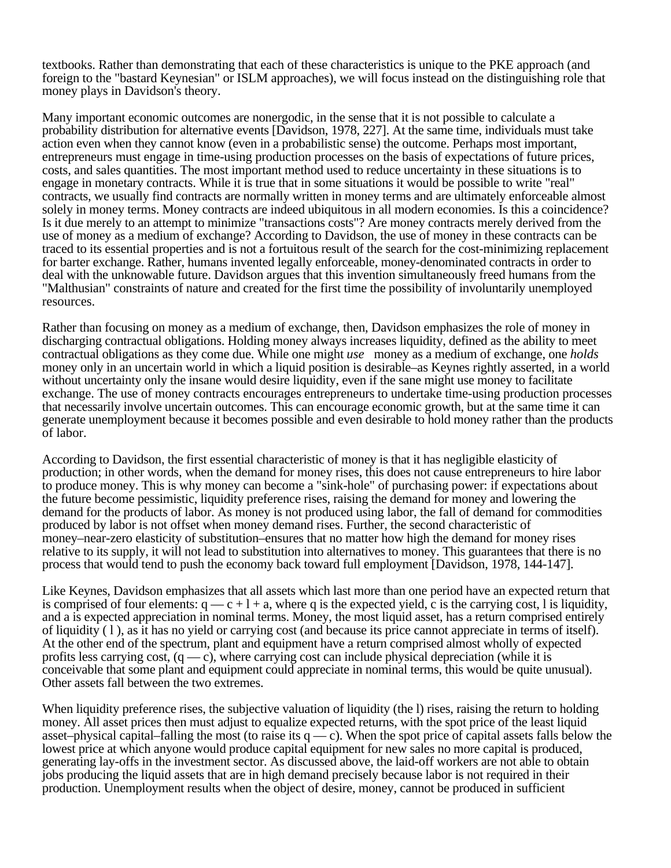textbooks. Rather than demonstrating that each of these characteristics is unique to the PKE approach (and foreign to the "bastard Keynesian" or ISLM approaches), we will focus instead on the distinguishing role that money plays in Davidson's theory.

Many important economic outcomes are nonergodic, in the sense that it is not possible to calculate a probability distribution for alternative events [Davidson, 1978, 227]. At the same time, individuals must take action even when they cannot know (even in a probabilistic sense) the outcome. Perhaps most important, entrepreneurs must engage in time-using production processes on the basis of expectations of future prices, costs, and sales quantities. The most important method used to reduce uncertainty in these situations is to engage in monetary contracts. While it is true that in some situations it would be possible to write "real" contracts, we usually find contracts are normally written in money terms and are ultimately enforceable almost solely in money terms. Money contracts are indeed ubiquitous in all modern economies. Is this a coincidence? Is it due merely to an attempt to minimize "transactions costs"? Are money contracts merely derived from the use of money as a medium of exchange? According to Davidson, the use of money in these contracts can be traced to its essential properties and is not a fortuitous result of the search for the cost-minimizing replacement for barter exchange. Rather, humans invented legally enforceable, money-denominated contracts in order to deal with the unknowable future. Davidson argues that this invention simultaneously freed humans from the "Malthusian" constraints of nature and created for the first time the possibility of involuntarily unemployed resources.

Rather than focusing on money as a medium of exchange, then, Davidson emphasizes the role of money in discharging contractual obligations. Holding money always increases liquidity, defined as the ability to meet contractual obligations as they come due. While one might *use* money as a medium of exchange, one *holds* money only in an uncertain world in which a liquid position is desirable–as Keynes rightly asserted, in a world without uncertainty only the insane would desire liquidity, even if the sane might use money to facilitate exchange. The use of money contracts encourages entrepreneurs to undertake time-using production processes that necessarily involve uncertain outcomes. This can encourage economic growth, but at the same time it can generate unemployment because it becomes possible and even desirable to hold money rather than the products of labor.

According to Davidson, the first essential characteristic of money is that it has negligible elasticity of production; in other words, when the demand for money rises, this does not cause entrepreneurs to hire labor to produce money. This is why money can become a "sink-hole" of purchasing power: if expectations about the future become pessimistic, liquidity preference rises, raising the demand for money and lowering the demand for the products of labor. As money is not produced using labor, the fall of demand for commodities produced by labor is not offset when money demand rises. Further, the second characteristic of money–near-zero elasticity of substitution–ensures that no matter how high the demand for money rises relative to its supply, it will not lead to substitution into alternatives to money. This guarantees that there is no process that would tend to push the economy back toward full employment [Davidson, 1978, 144-147].

Like Keynes, Davidson emphasizes that all assets which last more than one period have an expected return that is comprised of four elements:  $q = c + 1 + a$ , where q is the expected yield, c is the carrying cost, l is liquidity, and a is expected appreciation in nominal terms. Money, the most liquid asset, has a return comprised entirely of liquidity ( l ), as it has no yield or carrying cost (and because its price cannot appreciate in terms of itself). At the other end of the spectrum, plant and equipment have a return comprised almost wholly of expected profits less carrying cost,  $(q - c)$ , where carrying cost can include physical depreciation (while it is conceivable that some plant and equipment could appreciate in nominal terms, this would be quite unusual). Other assets fall between the two extremes.

When liquidity preference rises, the subjective valuation of liquidity (the l) rises, raising the return to holding money. All asset prices then must adjust to equalize expected returns, with the spot price of the least liquid asset–physical capital–falling the most (to raise its  $q - c$ ). When the spot price of capital assets falls below the lowest price at which anyone would produce capital equipment for new sales no more capital is produced, generating lay-offs in the investment sector. As discussed above, the laid-off workers are not able to obtain jobs producing the liquid assets that are in high demand precisely because labor is not required in their production. Unemployment results when the object of desire, money, cannot be produced in sufficient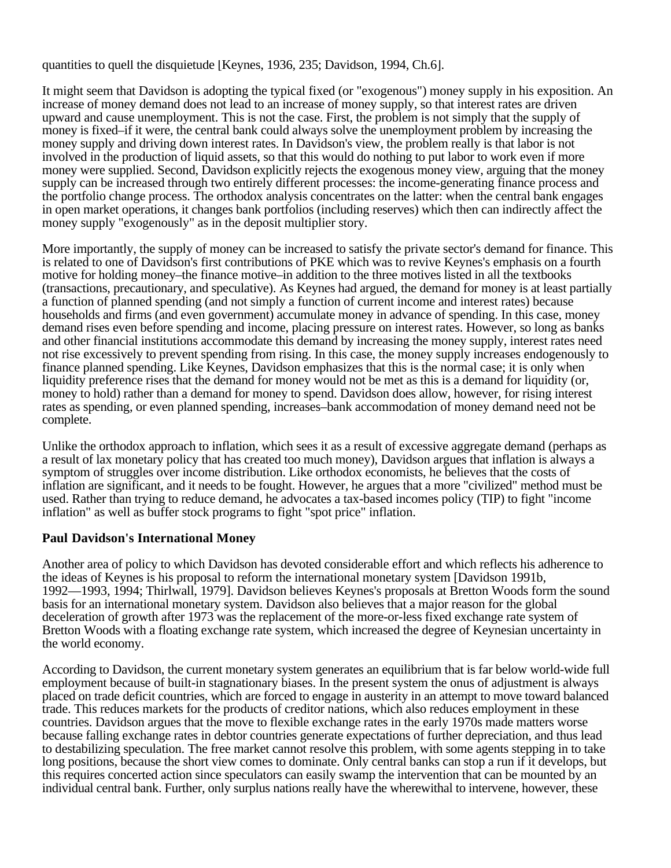quantities to quell the disquietude [Keynes, 1936, 235; Davidson, 1994, Ch.6].

It might seem that Davidson is adopting the typical fixed (or "exogenous") money supply in his exposition. An increase of money demand does not lead to an increase of money supply, so that interest rates are driven upward and cause unemployment. This is not the case. First, the problem is not simply that the supply of money is fixed–if it were, the central bank could always solve the unemployment problem by increasing the money supply and driving down interest rates. In Davidson's view, the problem really is that labor is not involved in the production of liquid assets, so that this would do nothing to put labor to work even if more money were supplied. Second, Davidson explicitly rejects the exogenous money view, arguing that the money supply can be increased through two entirely different processes: the income-generating finance process and the portfolio change process. The orthodox analysis concentrates on the latter: when the central bank engages in open market operations, it changes bank portfolios (including reserves) which then can indirectly affect the money supply "exogenously" as in the deposit multiplier story.

More importantly, the supply of money can be increased to satisfy the private sector's demand for finance. This is related to one of Davidson's first contributions of PKE which was to revive Keynes's emphasis on a fourth motive for holding money–the finance motive–in addition to the three motives listed in all the textbooks (transactions, precautionary, and speculative). As Keynes had argued, the demand for money is at least partially a function of planned spending (and not simply a function of current income and interest rates) because households and firms (and even government) accumulate money in advance of spending. In this case, money demand rises even before spending and income, placing pressure on interest rates. However, so long as banks and other financial institutions accommodate this demand by increasing the money supply, interest rates need not rise excessively to prevent spending from rising. In this case, the money supply increases endogenously to finance planned spending. Like Keynes, Davidson emphasizes that this is the normal case; it is only when liquidity preference rises that the demand for money would not be met as this is a demand for liquidity (or, money to hold) rather than a demand for money to spend. Davidson does allow, however, for rising interest rates as spending, or even planned spending, increases–bank accommodation of money demand need not be complete.

Unlike the orthodox approach to inflation, which sees it as a result of excessive aggregate demand (perhaps as a result of lax monetary policy that has created too much money), Davidson argues that inflation is always a symptom of struggles over income distribution. Like orthodox economists, he believes that the costs of inflation are significant, and it needs to be fought. However, he argues that a more "civilized" method must be used. Rather than trying to reduce demand, he advocates a tax-based incomes policy (TIP) to fight "income inflation" as well as buffer stock programs to fight "spot price" inflation.

### **Paul Davidson's International Money**

Another area of policy to which Davidson has devoted considerable effort and which reflects his adherence to the ideas of Keynes is his proposal to reform the international monetary system [Davidson 1991b, 1992—1993, 1994; Thirlwall, 1979]. Davidson believes Keynes's proposals at Bretton Woods form the sound basis for an international monetary system. Davidson also believes that a major reason for the global deceleration of growth after 1973 was the replacement of the more-or-less fixed exchange rate system of Bretton Woods with a floating exchange rate system, which increased the degree of Keynesian uncertainty in the world economy.

According to Davidson, the current monetary system generates an equilibrium that is far below world-wide full employment because of built-in stagnationary biases. In the present system the onus of adjustment is always placed on trade deficit countries, which are forced to engage in austerity in an attempt to move toward balanced trade. This reduces markets for the products of creditor nations, which also reduces employment in these countries. Davidson argues that the move to flexible exchange rates in the early 1970s made matters worse because falling exchange rates in debtor countries generate expectations of further depreciation, and thus lead to destabilizing speculation. The free market cannot resolve this problem, with some agents stepping in to take long positions, because the short view comes to dominate. Only central banks can stop a run if it develops, but this requires concerted action since speculators can easily swamp the intervention that can be mounted by an individual central bank. Further, only surplus nations really have the wherewithal to intervene, however, these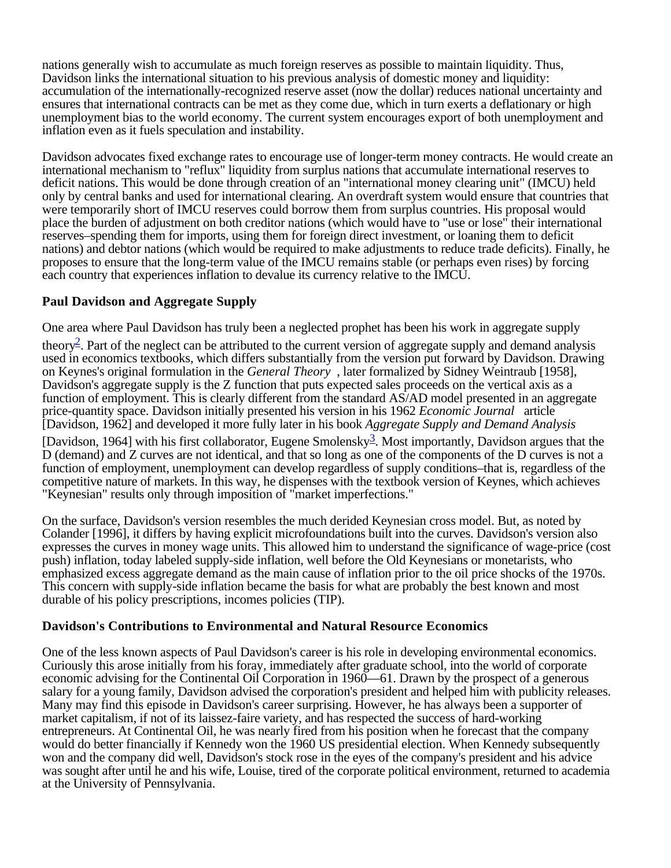nations generally wish to accumulate as much foreign reserves as possible to maintain liquidity. Thus, Davidson links the international situation to his previous analysis of domestic money and liquidity: accumulation of the internationally-recognized reserve asset (now the dollar) reduces national uncertainty and ensures that international contracts can be met as they come due, which in turn exerts a deflationary or high unemployment bias to the world economy. The current system encourages export of both unemployment and inflation even as it fuels speculation and instability.

Davidson advocates fixed exchange rates to encourage use of longer-term money contracts. He would create an international mechanism to "reflux" liquidity from surplus nations that accumulate international reserves to deficit nations. This would be done through creation of an "international money clearing unit" (IMCU) held only by central banks and used for international clearing. An overdraft system would ensure that countries that were temporarily short of IMCU reserves could borrow them from surplus countries. His proposal would place the burden of adjustment on both creditor nations (which would have to "use or lose" their international reserves–spending them for imports, using them for foreign direct investment, or loaning them to deficit nations) and debtor nations (which would be required to make adjustments to reduce trade deficits). Finally, he proposes to ensure that the long-term value of the IMCU remains stable (or perhaps even rises) by forcing each country that experiences inflation to devalue its currency relative to the IMCU.

## **Paul Davidson and Aggregate Supply**

One area where Paul Davidson has truly been a neglected prophet has been his work in aggregate supply

theory<sup>2</sup>. Part of the neglect can be attributed to the current version of aggregate supply and demand analysis used in economics textbooks, which differs substantially from the version put forward by Davidson. Drawing on Keynes's original formulation in the *General Theory* , later formalized by Sidney Weintraub [1958], Davidson's aggregate supply is the Z function that puts expected sales proceeds on the vertical axis as a function of employment. This is clearly different from the standard AS/AD model presented in an aggregate price-quantity space. Davidson initially presented his version in his 1962 *Economic Journal* article [Davidson, 1962] and developed it more fully later in his book *Aggregate Supply and Demand Analysis*

[Davidson, 1964] with his first collaborator, Eugene Smolensky<sup>3</sup>. Most importantly, Davidson argues that the D (demand) and Z curves are not identical, and that so long as one of the components of the D curves is not a function of employment, unemployment can develop regardless of supply conditions–that is, regardless of the competitive nature of markets. In this way, he dispenses with the textbook version of Keynes, which achieves "Keynesian" results only through imposition of "market imperfections."

On the surface, Davidson's version resembles the much derided Keynesian cross model. But, as noted by Colander [1996], it differs by having explicit microfoundations built into the curves. Davidson's version also expresses the curves in money wage units. This allowed him to understand the significance of wage-price (cost push) inflation, today labeled supply-side inflation, well before the Old Keynesians or monetarists, who emphasized excess aggregate demand as the main cause of inflation prior to the oil price shocks of the 1970s. This concern with supply-side inflation became the basis for what are probably the best known and most durable of his policy prescriptions, incomes policies (TIP).

### **Davidson's Contributions to Environmental and Natural Resource Economics**

One of the less known aspects of Paul Davidson's career is his role in developing environmental economics. Curiously this arose initially from his foray, immediately after graduate school, into the world of corporate economic advising for the Continental Oil Corporation in 1960—61. Drawn by the prospect of a generous salary for a young family, Davidson advised the corporation's president and helped him with publicity releases. Many may find this episode in Davidson's career surprising. However, he has always been a supporter of market capitalism, if not of its laissez-faire variety, and has respected the success of hard-working entrepreneurs. At Continental Oil, he was nearly fired from his position when he forecast that the company would do better financially if Kennedy won the 1960 US presidential election. When Kennedy subsequently won and the company did well, Davidson's stock rose in the eyes of the company's president and his advice was sought after until he and his wife, Louise, tired of the corporate political environment, returned to academia at the University of Pennsylvania.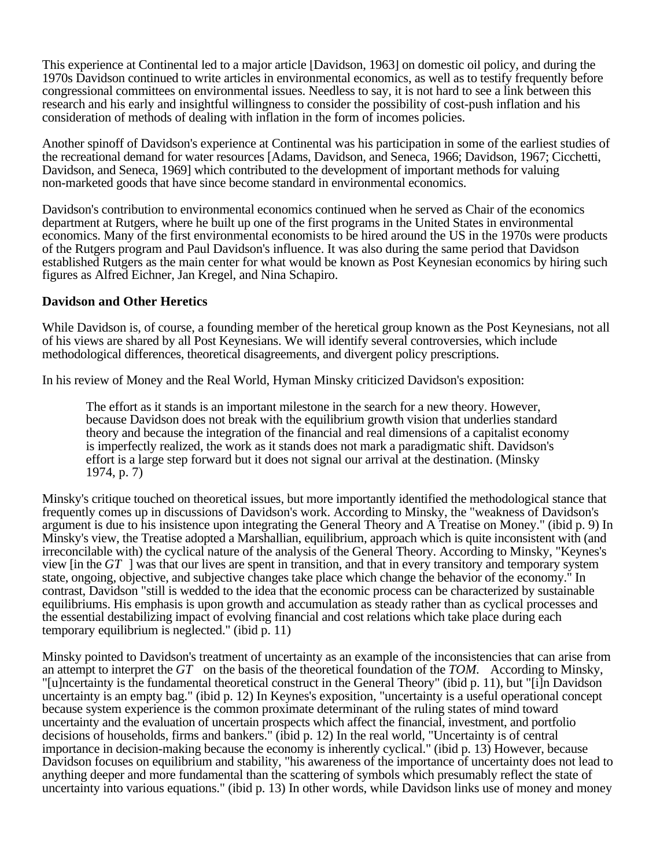This experience at Continental led to a major article [Davidson, 1963] on domestic oil policy, and during the 1970s Davidson continued to write articles in environmental economics, as well as to testify frequently before congressional committees on environmental issues. Needless to say, it is not hard to see a link between this research and his early and insightful willingness to consider the possibility of cost-push inflation and his consideration of methods of dealing with inflation in the form of incomes policies.

Another spinoff of Davidson's experience at Continental was his participation in some of the earliest studies of the recreational demand for water resources [Adams, Davidson, and Seneca, 1966; Davidson, 1967; Cicchetti, Davidson, and Seneca, 1969] which contributed to the development of important methods for valuing non-marketed goods that have since become standard in environmental economics.

Davidson's contribution to environmental economics continued when he served as Chair of the economics department at Rutgers, where he built up one of the first programs in the United States in environmental economics. Many of the first environmental economists to be hired around the US in the 1970s were products of the Rutgers program and Paul Davidson's influence. It was also during the same period that Davidson established Rutgers as the main center for what would be known as Post Keynesian economics by hiring such figures as Alfred Eichner, Jan Kregel, and Nina Schapiro.

### **Davidson and Other Heretics**

While Davidson is, of course, a founding member of the heretical group known as the Post Keynesians, not all of his views are shared by all Post Keynesians. We will identify several controversies, which include methodological differences, theoretical disagreements, and divergent policy prescriptions.

In his review of Money and the Real World, Hyman Minsky criticized Davidson's exposition:

The effort as it stands is an important milestone in the search for a new theory. However, because Davidson does not break with the equilibrium growth vision that underlies standard theory and because the integration of the financial and real dimensions of a capitalist economy is imperfectly realized, the work as it stands does not mark a paradigmatic shift. Davidson's effort is a large step forward but it does not signal our arrival at the destination. (Minsky 1974, p. 7)

Minsky's critique touched on theoretical issues, but more importantly identified the methodological stance that frequently comes up in discussions of Davidson's work. According to Minsky, the "weakness of Davidson's argument is due to his insistence upon integrating the General Theory and A Treatise on Money." (ibid p. 9) In Minsky's view, the Treatise adopted a Marshallian, equilibrium, approach which is quite inconsistent with (and irreconcilable with) the cyclical nature of the analysis of the General Theory. According to Minsky, "Keynes's view [in the *GT* ] was that our lives are spent in transition, and that in every transitory and temporary system state, ongoing, objective, and subjective changes take place which change the behavior of the economy." In contrast, Davidson "still is wedded to the idea that the economic process can be characterized by sustainable equilibriums. His emphasis is upon growth and accumulation as steady rather than as cyclical processes and the essential destabilizing impact of evolving financial and cost relations which take place during each temporary equilibrium is neglected." (ibid p. 11)

Minsky pointed to Davidson's treatment of uncertainty as an example of the inconsistencies that can arise from an attempt to interpret the *GT* on the basis of the theoretical foundation of the *TOM.* According to Minsky, "[u]ncertainty is the fundamental theoretical construct in the General Theory" (ibid p. 11), but "[i]n Davidson uncertainty is an empty bag." (ibid p. 12) In Keynes's exposition, "uncertainty is a useful operational concept because system experience is the common proximate determinant of the ruling states of mind toward uncertainty and the evaluation of uncertain prospects which affect the financial, investment, and portfolio decisions of households, firms and bankers." (ibid p. 12) In the real world, "Uncertainty is of central importance in decision-making because the economy is inherently cyclical." (ibid p. 13) However, because Davidson focuses on equilibrium and stability, "his awareness of the importance of uncertainty does not lead to anything deeper and more fundamental than the scattering of symbols which presumably reflect the state of uncertainty into various equations." (ibid p. 13) In other words, while Davidson links use of money and money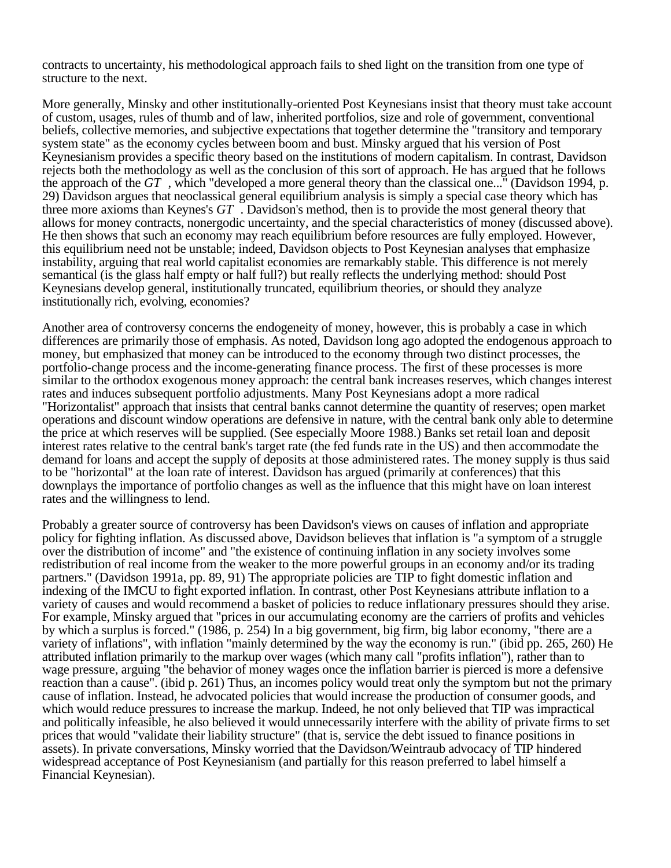contracts to uncertainty, his methodological approach fails to shed light on the transition from one type of structure to the next.

More generally, Minsky and other institutionally-oriented Post Keynesians insist that theory must take account of custom, usages, rules of thumb and of law, inherited portfolios, size and role of government, conventional beliefs, collective memories, and subjective expectations that together determine the "transitory and temporary system state" as the economy cycles between boom and bust. Minsky argued that his version of Post Keynesianism provides a specific theory based on the institutions of modern capitalism. In contrast, Davidson rejects both the methodology as well as the conclusion of this sort of approach. He has argued that he follows the approach of the *GT* , which "developed a more general theory than the classical one..." (Davidson 1994, p. 29) Davidson argues that neoclassical general equilibrium analysis is simply a special case theory which has three more axioms than Keynes's *GT* . Davidson's method, then is to provide the most general theory that allows for money contracts, nonergodic uncertainty, and the special characteristics of money (discussed above). He then shows that such an economy may reach equilibrium before resources are fully employed. However, this equilibrium need not be unstable; indeed, Davidson objects to Post Keynesian analyses that emphasize instability, arguing that real world capitalist economies are remarkably stable. This difference is not merely semantical (is the glass half empty or half full?) but really reflects the underlying method: should Post Keynesians develop general, institutionally truncated, equilibrium theories, or should they analyze institutionally rich, evolving, economies?

Another area of controversy concerns the endogeneity of money, however, this is probably a case in which differences are primarily those of emphasis. As noted, Davidson long ago adopted the endogenous approach to money, but emphasized that money can be introduced to the economy through two distinct processes, the portfolio-change process and the income-generating finance process. The first of these processes is more similar to the orthodox exogenous money approach: the central bank increases reserves, which changes interest rates and induces subsequent portfolio adjustments. Many Post Keynesians adopt a more radical "Horizontalist" approach that insists that central banks cannot determine the quantity of reserves; open market operations and discount window operations are defensive in nature, with the central bank only able to determine the price at which reserves will be supplied. (See especially Moore 1988.) Banks set retail loan and deposit interest rates relative to the central bank's target rate (the fed funds rate in the US) and then accommodate the demand for loans and accept the supply of deposits at those administered rates. The money supply is thus said to be "horizontal" at the loan rate of interest. Davidson has argued (primarily at conferences) that this downplays the importance of portfolio changes as well as the influence that this might have on loan interest rates and the willingness to lend.

Probably a greater source of controversy has been Davidson's views on causes of inflation and appropriate policy for fighting inflation. As discussed above, Davidson believes that inflation is "a symptom of a struggle over the distribution of income" and "the existence of continuing inflation in any society involves some redistribution of real income from the weaker to the more powerful groups in an economy and/or its trading partners." (Davidson 1991a, pp. 89, 91) The appropriate policies are TIP to fight domestic inflation and indexing of the IMCU to fight exported inflation. In contrast, other Post Keynesians attribute inflation to a variety of causes and would recommend a basket of policies to reduce inflationary pressures should they arise. For example, Minsky argued that "prices in our accumulating economy are the carriers of profits and vehicles by which a surplus is forced." (1986, p. 254) In a big government, big firm, big labor economy, "there are a variety of inflations", with inflation "mainly determined by the way the economy is run." (ibid pp. 265, 260) He attributed inflation primarily to the markup over wages (which many call "profits inflation"), rather than to wage pressure, arguing "the behavior of money wages once the inflation barrier is pierced is more a defensive reaction than a cause". (ibid p. 261) Thus, an incomes policy would treat only the symptom but not the primary cause of inflation. Instead, he advocated policies that would increase the production of consumer goods, and which would reduce pressures to increase the markup. Indeed, he not only believed that TIP was impractical and politically infeasible, he also believed it would unnecessarily interfere with the ability of private firms to set prices that would "validate their liability structure" (that is, service the debt issued to finance positions in assets). In private conversations, Minsky worried that the Davidson/Weintraub advocacy of TIP hindered widespread acceptance of Post Keynesianism (and partially for this reason preferred to label himself a Financial Keynesian).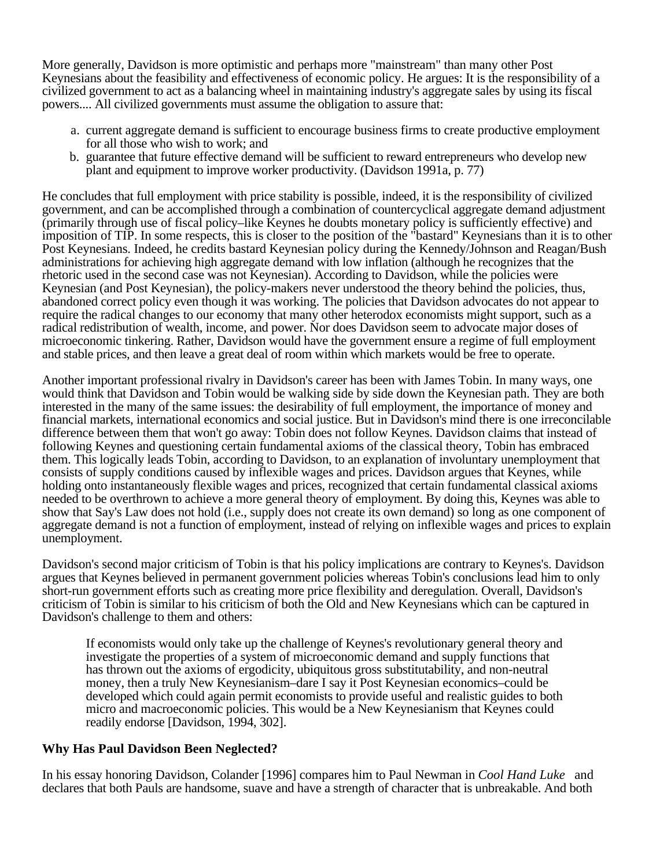More generally, Davidson is more optimistic and perhaps more "mainstream" than many other Post Keynesians about the feasibility and effectiveness of economic policy. He argues: It is the responsibility of a civilized government to act as a balancing wheel in maintaining industry's aggregate sales by using its fiscal powers.... All civilized governments must assume the obligation to assure that:

- a. current aggregate demand is sufficient to encourage business firms to create productive employment for all those who wish to work; and
- b. guarantee that future effective demand will be sufficient to reward entrepreneurs who develop new plant and equipment to improve worker productivity. (Davidson 1991a, p. 77)

He concludes that full employment with price stability is possible, indeed, it is the responsibility of civilized government, and can be accomplished through a combination of countercyclical aggregate demand adjustment (primarily through use of fiscal policy–like Keynes he doubts monetary policy is sufficiently effective) and imposition of TIP. In some respects, this is closer to the position of the "bastard" Keynesians than it is to other Post Keynesians. Indeed, he credits bastard Keynesian policy during the Kennedy/Johnson and Reagan/Bush administrations for achieving high aggregate demand with low inflation (although he recognizes that the rhetoric used in the second case was not Keynesian). According to Davidson, while the policies were Keynesian (and Post Keynesian), the policy-makers never understood the theory behind the policies, thus, abandoned correct policy even though it was working. The policies that Davidson advocates do not appear to require the radical changes to our economy that many other heterodox economists might support, such as a radical redistribution of wealth, income, and power. Nor does Davidson seem to advocate major doses of microeconomic tinkering. Rather, Davidson would have the government ensure a regime of full employment and stable prices, and then leave a great deal of room within which markets would be free to operate.

Another important professional rivalry in Davidson's career has been with James Tobin. In many ways, one would think that Davidson and Tobin would be walking side by side down the Keynesian path. They are both interested in the many of the same issues: the desirability of full employment, the importance of money and financial markets, international economics and social justice. But in Davidson's mind there is one irreconcilable difference between them that won't go away: Tobin does not follow Keynes. Davidson claims that instead of following Keynes and questioning certain fundamental axioms of the classical theory, Tobin has embraced them. This logically leads Tobin, according to Davidson, to an explanation of involuntary unemployment that consists of supply conditions caused by inflexible wages and prices. Davidson argues that Keynes, while holding onto instantaneously flexible wages and prices, recognized that certain fundamental classical axioms needed to be overthrown to achieve a more general theory of employment. By doing this, Keynes was able to show that Say's Law does not hold (i.e., supply does not create its own demand) so long as one component of aggregate demand is not a function of employment, instead of relying on inflexible wages and prices to explain unemployment.

Davidson's second major criticism of Tobin is that his policy implications are contrary to Keynes's. Davidson argues that Keynes believed in permanent government policies whereas Tobin's conclusions lead him to only short-run government efforts such as creating more price flexibility and deregulation. Overall, Davidson's criticism of Tobin is similar to his criticism of both the Old and New Keynesians which can be captured in Davidson's challenge to them and others:

If economists would only take up the challenge of Keynes's revolutionary general theory and investigate the properties of a system of microeconomic demand and supply functions that has thrown out the axioms of ergodicity, ubiquitous gross substitutability, and non-neutral money, then a truly New Keynesianism–dare I say it Post Keynesian economics–could be developed which could again permit economists to provide useful and realistic guides to both micro and macroeconomic policies. This would be a New Keynesianism that Keynes could readily endorse [Davidson, 1994, 302].

### **Why Has Paul Davidson Been Neglected?**

In his essay honoring Davidson, Colander [1996] compares him to Paul Newman in *Cool Hand Luke* and declares that both Pauls are handsome, suave and have a strength of character that is unbreakable. And both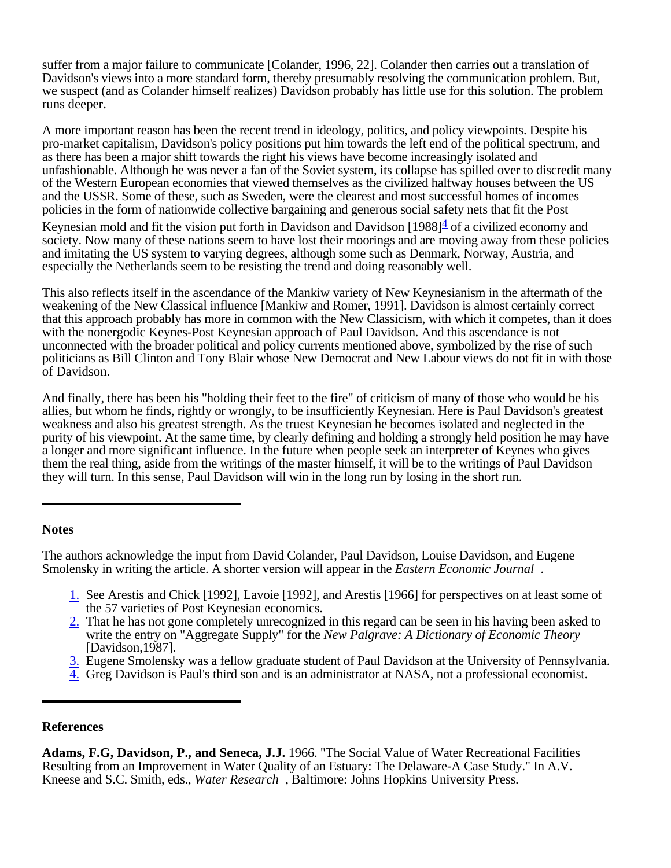suffer from a major failure to communicate [Colander, 1996, 22]. Colander then carries out a translation of Davidson's views into a more standard form, thereby presumably resolving the communication problem. But, we suspect (and as Colander himself realizes) Davidson probably has little use for this solution. The problem runs deeper.

A more important reason has been the recent trend in ideology, politics, and policy viewpoints. Despite his pro-market capitalism, Davidson's policy positions put him towards the left end of the political spectrum, and as there has been a major shift towards the right his views have become increasingly isolated and unfashionable. Although he was never a fan of the Soviet system, its collapse has spilled over to discredit many of the Western European economies that viewed themselves as the civilized halfway houses between the US and the USSR. Some of these, such as Sweden, were the clearest and most successful homes of incomes policies in the form of nationwide collective bargaining and generous social safety nets that fit the Post

Keynesian mold and fit the vision put forth in Davidson and Davidson [1988] $\frac{4}{5}$  of a civilized economy and society. Now many of these nations seem to have lost their moorings and are moving away from these policies and imitating the US system to varying degrees, although some such as Denmark, Norway, Austria, and especially the Netherlands seem to be resisting the trend and doing reasonably well.

This also reflects itself in the ascendance of the Mankiw variety of New Keynesianism in the aftermath of the weakening of the New Classical influence [Mankiw and Romer, 1991]. Davidson is almost certainly correct that this approach probably has more in common with the New Classicism, with which it competes, than it does with the nonergodic Keynes-Post Keynesian approach of Paul Davidson. And this ascendance is not unconnected with the broader political and policy currents mentioned above, symbolized by the rise of such politicians as Bill Clinton and Tony Blair whose New Democrat and New Labour views do not fit in with those of Davidson.

And finally, there has been his "holding their feet to the fire" of criticism of many of those who would be his allies, but whom he finds, rightly or wrongly, to be insufficiently Keynesian. Here is Paul Davidson's greatest weakness and also his greatest strength. As the truest Keynesian he becomes isolated and neglected in the purity of his viewpoint. At the same time, by clearly defining and holding a strongly held position he may have a longer and more significant influence. In the future when people seek an interpreter of Keynes who gives them the real thing, aside from the writings of the master himself, it will be to the writings of Paul Davidson they will turn. In this sense, Paul Davidson will win in the long run by losing in the short run.

#### **Notes**

The authors acknowledge the input from David Colander, Paul Davidson, Louise Davidson, and Eugene Smolensky in writing the article. A shorter version will appear in the *Eastern Economic Journal* .

- 1. See Arestis and Chick [1992], Lavoie [1992], and Arestis [1966] for perspectives on at least some of the 57 varieties of Post Keynesian economics.
- 2. That he has not gone completely unrecognized in this regard can be seen in his having been asked to write the entry on "Aggregate Supply" for the *New Palgrave: A Dictionary of Economic Theory* [Davidson,1987].
- 3. Eugene Smolensky was a fellow graduate student of Paul Davidson at the University of Pennsylvania.
- 4. Greg Davidson is Paul's third son and is an administrator at NASA, not a professional economist.

### **References**

**Adams, F.G, Davidson, P., and Seneca, J.J.** 1966. "The Social Value of Water Recreational Facilities Resulting from an Improvement in Water Quality of an Estuary: The Delaware-A Case Study." In A.V. Kneese and S.C. Smith, eds., *Water Research* , Baltimore: Johns Hopkins University Press.